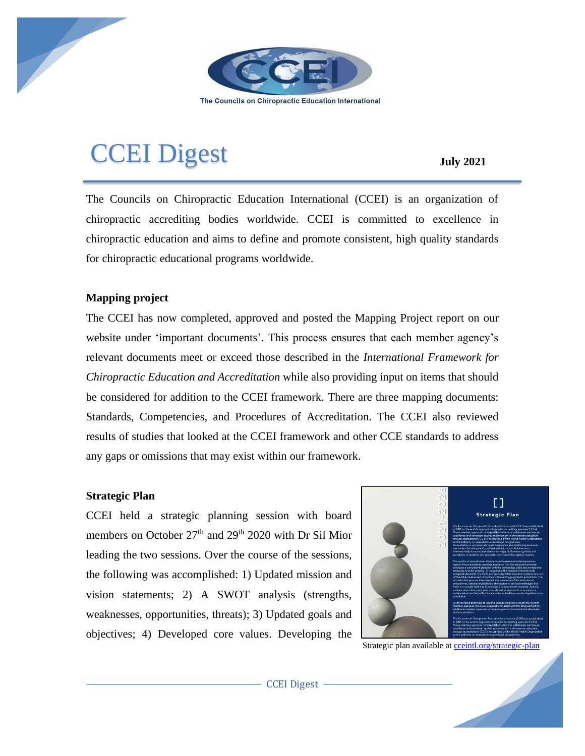

The Councils on Chiropractic Education International

# CCEI Digest **July <sup>2021</sup>**

The Councils on Chiropractic Education International (CCEI) is an organization of chiropractic accrediting bodies worldwide. CCEI is committed to excellence in chiropractic education and aims to define and promote consistent, high quality standards for chiropractic educational programs worldwide.

## **Mapping project**

The CCEI has now completed, approved and posted the Mapping Project report on our website under 'important documents'. This process ensures that each member agency's relevant documents meet or exceed those described in the *International Framework for Chiropractic Education and Accreditation* while also providing input on items that should be considered for addition to the CCEI framework. There are three mapping documents: Standards, Competencies, and Procedures of Accreditation. The CCEI also reviewed results of studies that looked at the CCEI framework and other CCE standards to address any gaps or omissions that may exist within our framework.

### **Strategic Plan**

CCEI held a strategic planning session with board members on October 27<sup>th</sup> and 29<sup>th</sup> 2020 with Dr Sil Mior leading the two sessions. Over the course of the sessions, the following was accomplished: 1) Updated mission and vision statements; 2) A SWOT analysis (strengths, weaknesses, opportunities, threats); 3) Updated goals and objectives; 4) Developed core values. Developing the



Strategic plan available a[t cceintl.org/strategic-plan](about:blank)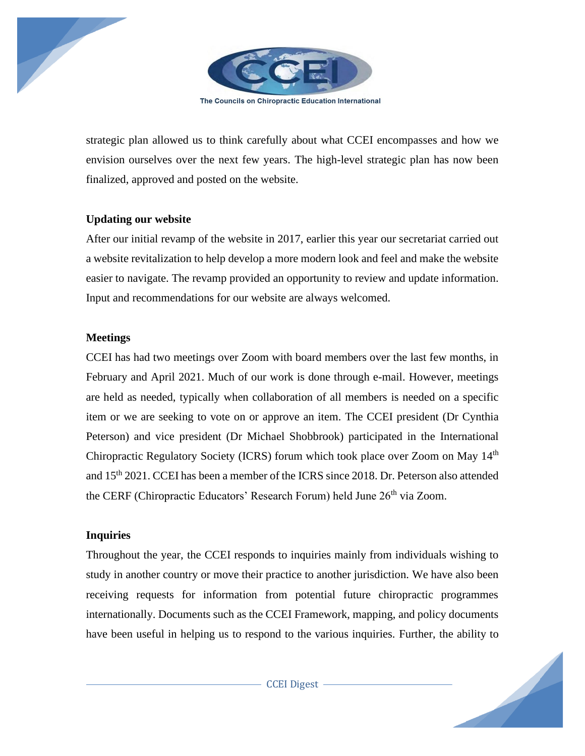

The Councils on Chiropractic Education International

strategic plan allowed us to think carefully about what CCEI encompasses and how we envision ourselves over the next few years. The high-level strategic plan has now been finalized, approved and posted on the website.

#### **Updating our website**

After our initial revamp of the website in 2017, earlier this year our secretariat carried out a website revitalization to help develop a more modern look and feel and make the website easier to navigate. The revamp provided an opportunity to review and update information. Input and recommendations for our website are always welcomed.

#### **Meetings**

CCEI has had two meetings over Zoom with board members over the last few months, in February and April 2021. Much of our work is done through e-mail. However, meetings are held as needed, typically when collaboration of all members is needed on a specific item or we are seeking to vote on or approve an item. The CCEI president (Dr Cynthia Peterson) and vice president (Dr Michael Shobbrook) participated in the International Chiropractic Regulatory Society (ICRS) forum which took place over Zoom on May 14th and 15th 2021. CCEI has been a member of the ICRS since 2018. Dr. Peterson also attended the CERF (Chiropractic Educators' Research Forum) held June 26<sup>th</sup> via Zoom.

#### **Inquiries**

Throughout the year, the CCEI responds to inquiries mainly from individuals wishing to study in another country or move their practice to another jurisdiction. We have also been receiving requests for information from potential future chiropractic programmes internationally. Documents such as the CCEI Framework, mapping, and policy documents have been useful in helping us to respond to the various inquiries. Further, the ability to